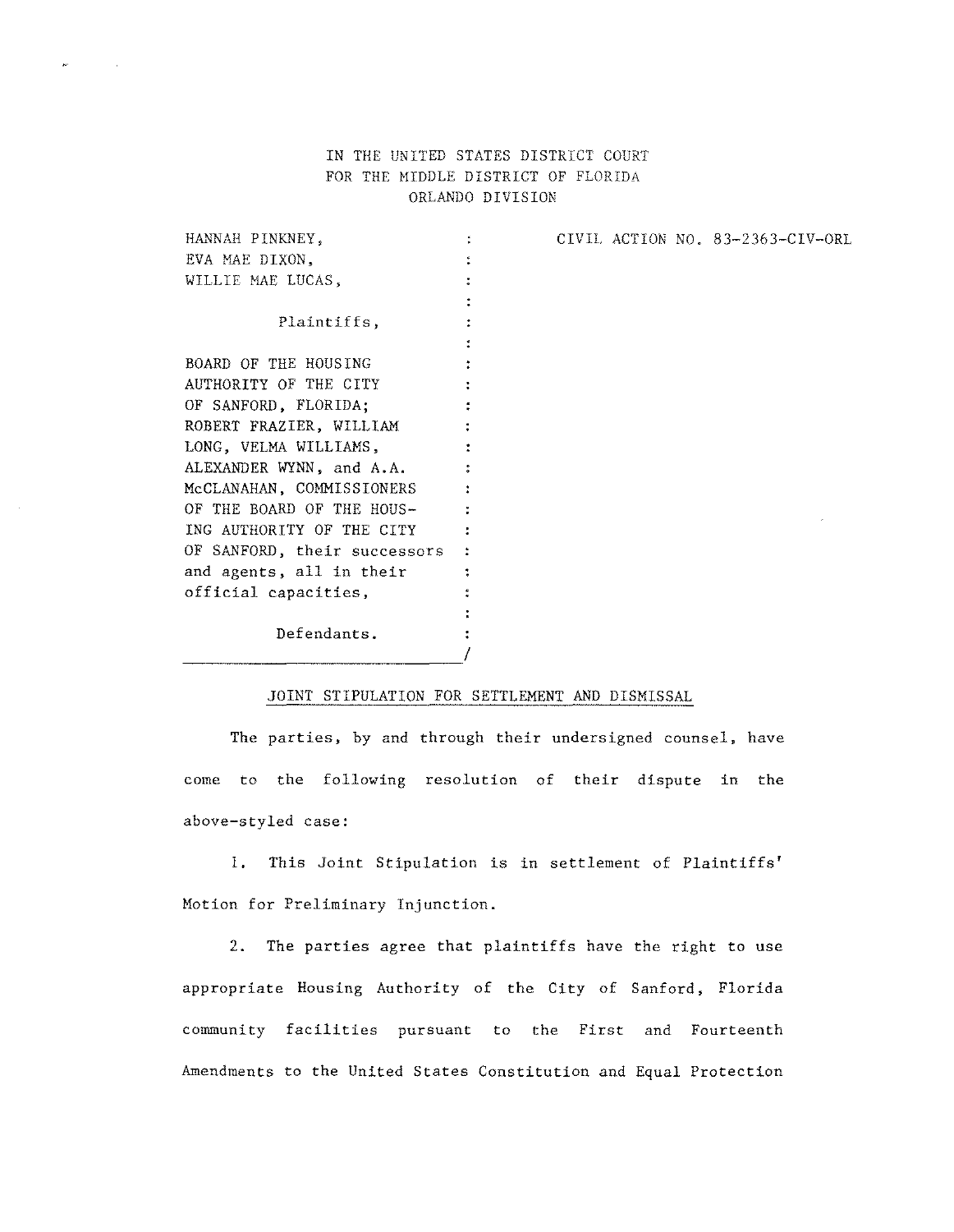## IN THE UNITED STATES DISTRICT COURT FOR THE MIDDLE DISTRICT OF FLORIDA ORLANDO DIVISION

CIVIL ACTION NO. 83-2363-CIV-ORL

HANNAH PINKNEY,  $\frac{1}{\alpha}$  . EVA MAE DIXON,  $\ddot{\bullet}$ WILLIE MAE LUCAS,  $\ddot{\cdot}$  $\ddot{\phantom{a}}$ Plaintiffs,  $\cdot$  $\ddot{\cdot}$ BOARD OF THE HOUSING  $\ddot{z}$ AUTHORITY OF THE CITY  $\bullet$ OF SANFORD, FLORIDA; ÷ ROBERT FRAZIER, WILLIAM  $\ddot{\cdot}$ LONG, VELMA WILLIAMS,  $\ddot{z}$ ALEXANDER WYNN, and A.A. McCLANAHAN, COMMISSIONERS  $\ddot{\cdot}$ OF THE BOARD OF THE HOUS-÷ ING AUTHORITY OF THE CITY ÷ OF SANFORD, their successors  $\ddot{\cdot}$ **and agents, all in their**   $\ddot{\cdot}$ **official capacities,**   $\ddot{\bullet}$  $\ddot{\phantom{a}}$ Defendants. *\_\_\_\_\_\_\_\_\_\_\_\_\_\_\_\_\_\_\_\_\_1* 

 $\sim$   $\sim$ 

## JOINT STIPULATION FOR SETTLEMENT AND DISMISSAL

The parties, by and through their undersigned counsel, have come to the following resolution of their dispute in the above-styled case:

1. This Joint Stipulation is in settlement of Plaintiffs' **Motion for Preliminary Injunction.** 

**2.** The parties agree that plaintiffs have the right to use appropriate Housing Authority of the City of Sanford, Florida **community facilities pursuant to the First and Fourteenth**  Amendments to the United States Constitution and Equal Protection